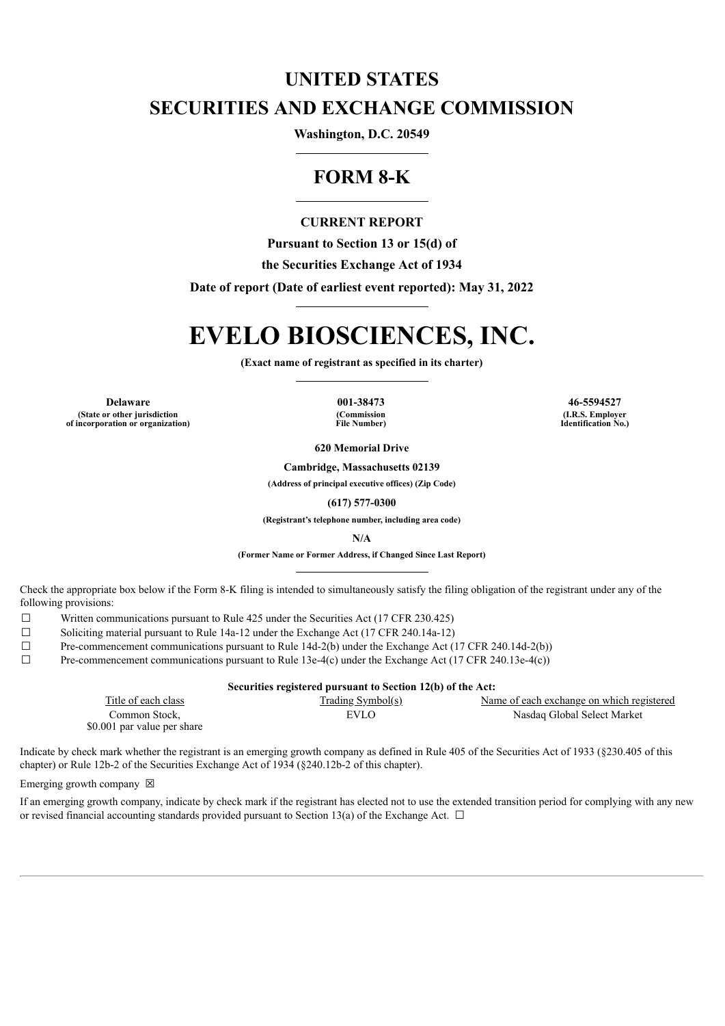# **UNITED STATES SECURITIES AND EXCHANGE COMMISSION**

**Washington, D.C. 20549**

# **FORM 8-K**

# **CURRENT REPORT**

**Pursuant to Section 13 or 15(d) of**

**the Securities Exchange Act of 1934**

**Date of report (Date of earliest event reported): May 31, 2022**

# **EVELO BIOSCIENCES, INC.**

**(Exact name of registrant as specified in its charter)**

**Delaware 001-38473 46-5594527 (State or other jurisdiction of incorporation or organization)**

**(Commission File Number)**

**(I.R.S. Employer Identification No.)**

**620 Memorial Drive**

**Cambridge, Massachusetts 02139**

**(Address of principal executive offices) (Zip Code)**

**(617) 577-0300**

**(Registrant's telephone number, including area code)**

**N/A**

**(Former Name or Former Address, if Changed Since Last Report)**

Check the appropriate box below if the Form 8-K filing is intended to simultaneously satisfy the filing obligation of the registrant under any of the following provisions:

- $\Box$  Written communications pursuant to Rule 425 under the Securities Act (17 CFR 230.425)
- $\Box$  Soliciting material pursuant to Rule 14a-12 under the Exchange Act (17 CFR 240.14a-12)
- $\Box$  Pre-commencement communications pursuant to Rule 14d-2(b) under the Exchange Act (17 CFR 240.14d-2(b))
- $\Box$  Pre-commencement communications pursuant to Rule 13e-4(c) under the Exchange Act (17 CFR 240.13e-4(c))

| Securities registered pursuant to Section 12(b) of the Act: |                     |                                           |
|-------------------------------------------------------------|---------------------|-------------------------------------------|
| Title of each class                                         | $Trading$ Symbol(s) | Name of each exchange on which registered |
| Common Stock.                                               | EVLO                | Nasdag Global Select Market               |
| \$0.001 par value per share                                 |                     |                                           |

Indicate by check mark whether the registrant is an emerging growth company as defined in Rule 405 of the Securities Act of 1933 (§230.405 of this chapter) or Rule 12b-2 of the Securities Exchange Act of 1934 (§240.12b-2 of this chapter).

#### Emerging growth company  $\boxtimes$

If an emerging growth company, indicate by check mark if the registrant has elected not to use the extended transition period for complying with any new or revised financial accounting standards provided pursuant to Section 13(a) of the Exchange Act.  $\Box$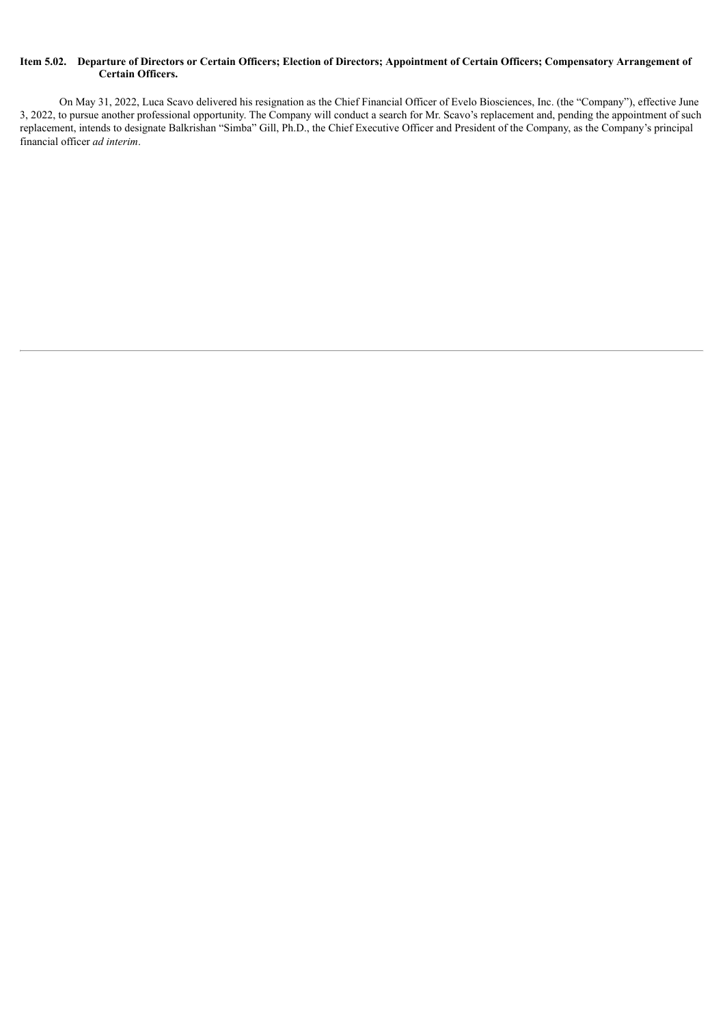### Item 5.02. Departure of Directors or Certain Officers; Election of Directors; Appointment of Certain Officers; Compensatory Arrangement of **Certain Officers.**

On May 31, 2022, Luca Scavo delivered his resignation as the Chief Financial Officer of Evelo Biosciences, Inc. (the "Company"), effective June 3, 2022, to pursue another professional opportunity. The Company will conduct a search for Mr. Scavo's replacement and, pending the appointment of such replacement, intends to designate Balkrishan "Simba" Gill, Ph.D., the Chief Executive Officer and President of the Company, as the Company's principal financial officer *ad interim*.